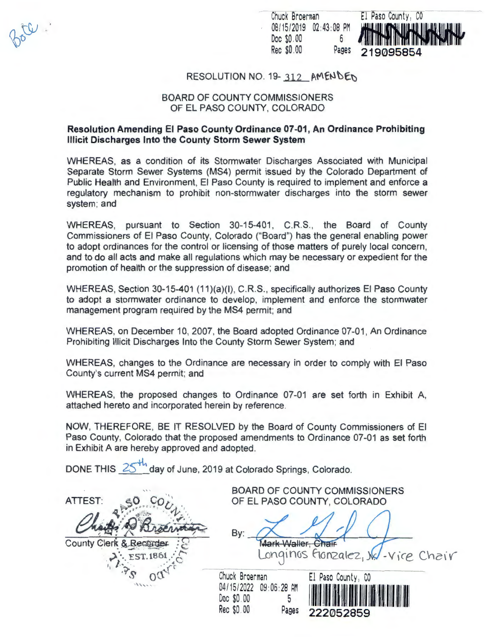Doc \$0.00 6 Rec \$0 .00 Pages **219095854** 



# RESOLUTION NO. 19-312  $\text{AMENDED}$

# BOARD OF COUNTY COMMISSIONERS OF EL PASO COUNTY, COLORADO

*Gv;};J* 

# **Resolution Amending El Paso County Ordinance 07-01, An Ordinance Prohibiting Illicit Discharges Into the County Storm Sewer System**

WHEREAS, as a condition of its Stormwater Discharges Associated with Municipal Separate Storm Sewer Systems (MS4) permit issued by the Colorado Department of Public Health and Environment, El Paso County is required to implement and enforce a regulatory mechanism to prohibit non-stormwater discharges into the storm sewer system; and

WHEREAS, pursuant to Section 30-15-401, C.R.S., the Board of County Commissioners of El Paso County, Colorado ("Board") has the general enabling power to adopt ordinances for the control or licensing of those matters of purely local concern, and to do all acts and make all regulations which may be necessary or expedient for the promotion of health or the suppression of disease; and

WHEREAS, Section 30-15-401 (11)(a)(I), C.R.S., specifically authorizes El Paso County to adopt a stormwater ordinance to develop, implement and enforce the stormwater management program required by the MS4 permit; and

WHEREAS, on December 10, 2007, the Board adopted Ordinance 07-01 , An Ordinance Prohibiting Illicit Discharges Into the County Storm Sewer System; and

WHEREAS, changes to the Ordinance are necessary in order to comply with El Paso County's current MS4 permit; and

WHEREAS, the proposed changes to Ordinance 07-01 are set forth in Exhibit A, attached hereto and incorporated herein by reference.

NOW, THEREFORE, BE IT RESOLVED by the Board of County Commissioners of El Paso County, Colorado that the proposed amendments to Ordinance 07-01 as set forth in Exhibit A are hereby approved and adopted.

DONE THIS 25<sup>Hh</sup> day of June, 2019 at Colorado Springs, Colorado.

| $\sim$ $\sim$<br><b>ATTEST:</b><br>County Clerk & Recorder<br>: EST.1861<br>111111 | <b>BOARD OF COUNTY COMMISSIONERS</b><br>OF EL PASO COUNTY, COLORADO<br>By:<br><b>Aark Waller</b><br>Longinos flonzalez, W.-Vice Chair |                                 |
|------------------------------------------------------------------------------------|---------------------------------------------------------------------------------------------------------------------------------------|---------------------------------|
|                                                                                    | Chuck Broerman<br>04/15/2022<br>09:06:28 AM<br>Doc \$0.00<br>Rec \$0.00<br>Pages                                                      | El Paso County, CO<br>222052859 |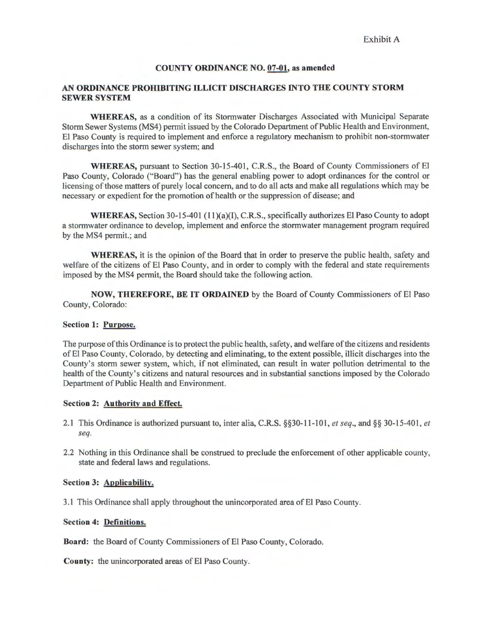### **COUNTY ORDINANCE NO. 07-01, as amended**

## **AN ORDINANCE PROHIBITING ILLICIT DISCHARGES INTO THE COUNTY STORM SEWER SYSTEM**

**WHEREAS,** as a condition of its Stormwater Discharges Associated with Municipal Separate Storm Sewer Systems (MS4) permit issued by the Colorado Department of Public Health and Environment, El Paso County is required to implement and enforce a regulatory mechanism to prohibit non-stormwater discharges into the storm sewer system; and

**WHEREAS,** pursuant to Section 30-15-401 , C.R.S., the Board of County Commissioners of El Paso County, Colorado ("Board") has the general enabling power to adopt ordinances for the control or licensing of those matters of purely local concern, and to do all acts and make all regulations which may be necessary or expedient for the promotion of health or the suppression of disease; and

WHEREAS, Section 30-15-401 (11)(a)(I), C.R.S., specifically authorizes El Paso County to adopt a stormwater ordinance to develop, implement and enforce the stormwater management program required by the MS4 permit.; and

**WHEREAS,** it is the opinion of the Board that in order to preserve the public health, safety and welfare of the citizens of El Paso County, and in order to comply with the federal and state requirements imposed by the MS4 permit, the Board should take the following action.

**NOW, THEREFORE, BE IT ORDAINED** by the Board of County Commissioners of El Paso County, Colorado:

#### **Section 1: Purpose.**

The purpose of this Ordinance is to protect the public health, safety, and welfare of the citizens and residents of El Paso County, Colorado, by detecting and eliminating, to the extent possible, illicit discharges into the County's storm sewer system, which, if not eliminated, can result in water pollution detrimental to the health of the County's citizens and natural resources and in substantial sanctions imposed by the Colorado Department of Public Health and Environment.

#### **Section 2: Authority and Effect.**

- 2.1 This Ordinance is authorized pursuant to, inter alia, C.R.S. §§30-11-101 , *et seq.,* and§§ 30-15-401 , *et seq.*
- 2.2 Nothing in this Ordinance shall be construed to preclude the enforcement of other applicable county, state and federal laws and regulations.

#### **Section 3: Applicability.**

3 .1 This Ordinance shall apply throughout the unincorporated area of El Paso County.

## **Section 4: Definitions.**

**Board:** the Board of County Commissioners of El Paso County, Colorado.

**County:** the unincorporated areas of El Paso County.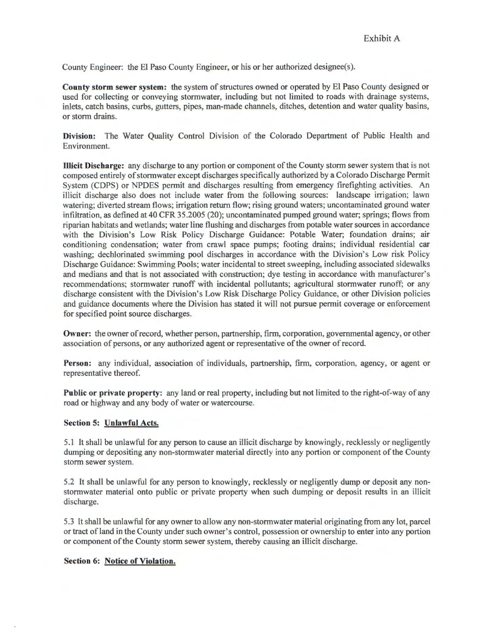County Engineer: the El Paso County Engineer, or his or her authorized designee(s).

**County storm sewer system:** the system of structures owned or operated by El Paso County designed or used for collecting or conveying stormwater, including but not limited to roads with drainage systems, inlets, catch basins, curbs, gutters, pipes, man-made channels, ditches, detention and water quality basins, or storm drains.

**Division:** The Water Quality Control Division of the Colorado Department of Public Health and Environment.

**Illicit Discharge:** any discharge to any portion or component of the County storm sewer system that is not composed entirely of storm water except discharges specifically authorized by a Colorado Discharge Permit System (CDPS) or NPDES permit and discharges resulting from emergency firefighting activities. An illicit discharge also does not include water from the following sources: landscape irrigation; lawn watering; diverted stream flows; irrigation return flow; rising ground waters; uncontaminated ground water infiltration, as defined at 40 CFR 35.2005 (20); uncontaminated pumped ground water; springs; flows from riparian habitats and wetlands; water line flushing and discharges from potable water sources in accordance with the Division's Low Risk Policy Discharge Guidance: Potable Water; foundation drains; air conditioning condensation; water from crawl space pumps; footing drains; individual residential car washing; dechlorinated swimming pool discharges in accordance with the Division's Low risk Policy Discharge Guidance: Swimming Pools; water incidental to street sweeping, including associated sidewalks and medians and that is not associated with construction; dye testing in accordance with manufacturer's recommendations; stormwater runoff with incidental pollutants; agricultural stormwater runoff; or any discharge consistent with the Division's Low Risk Discharge Policy Guidance, or other Division policies and guidance documents where the Division has stated it will not pursue permit coverage or enforcement for specified point source discharges.

**Owner:** the owner of record, whether person, partnership, firm, corporation, governmental agency, or other association of persons, or any authorized agent or representative of the owner of record.

**Person:** any individual, association of individuals, partnership, firm, corporation, agency, or agent or representative thereof.

**Public or private property:** any land or real property, including but not limited to the right-of-way of any road or highway and any body of water or watercourse.

### **Section 5: Unlawful Acts.**

5.1 It shall be unlawful for any person to cause an illicit discharge by knowingly, recklessly or negligently dumping or depositing any non-stormwater material directly into any portion or component of the County storm sewer system.

5.2 It shall be unlawful for any person to knowingly, recklessly or negligently dump or deposit any nonstormwater material onto public or private property when such dumping or deposit results in an illicit discharge.

5.3 It shall be unlawful for any owner to allow any non-stormwater material originating from any lot, parcel or tract ofland in the County under such owner's control, possession or ownership to enter into any portion or component of the County storm sewer system, thereby causing an illicit discharge.

### **Section 6: Notice of Violation.**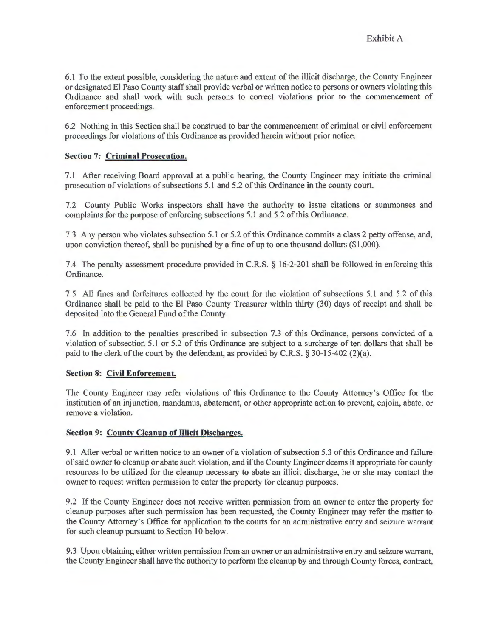6.1 To the extent possible, considering the nature and extent of the illicit discharge, the County Engineer or designated El Paso County staff shal I provide verbal or written notice to persons or owners violating this Ordinance and shall work with such persons to correct violations prior to the commencement of enforcement proceedings.

6.2 Nothing in this Section shall be construed to bar the commencement of criminal or civil enforcement proceedings for violations of this Ordinance as provided herein without prior notice.

### **Section 7: Criminal Prosecution.**

7.1 After receiving Board approval at a public hearing, the County Engineer may initiate the criminal prosecution of violations of subsections 5.1 and 5.2 of this Ordinance in the county court.

7.2 County Public Works inspectors shall have the authority to issue citations or summonses and complaints for the purpose of enforcing subsections 5.1 and 5.2 of this Ordinance.

7.3 Any person who violates subsection 5.1 or 5.2 of this Ordinance commits a class 2 petty offense, and, upon conviction thereof, shall be punished by a fine of up to one thousand dollars (\$1 ,000).

7.4 The penalty assessment procedure provided in C.R.S. § 16-2-201 shall be followed in enforcing this Ordinance.

7.5 All fines and forfeitures collected by the court for the violation of subsections 5.1 and 5.2 of this Ordinance shall be paid to the El Paso County Treasurer within thirty (30) days of receipt and shall be deposited into the General Fund of the County.

7.6 ln addition to the penalties prescribed in subsection 7.3 of this Ordinance, persons convicted of a violation of subsection 5.1 or 5.2 of this Ordinance are subject to a surcharge of ten dollars that shall be paid to the clerk of the court by the defendant, as provided by C.R.S. § 30-15-402 (2)(a).

### **Section 8: Civil Enforcement.**

The County Engineer may refer violations of this Ordinance to the County Attorney's Office for the institution of an injunction, mandamus, abatement, or other appropriate action to prevent, enjoin, abate, or remove a violation.

### **Section 9: County Cleanup of Illicit Discharges.**

9.1 After verbal or written notice to an owner of a violation of subsection 5.3 of this Ordinance and failure of said owner to cleanup or abate such violation, and if the County Engineer deems it appropriate for county resources to be utilized for the cleanup necessary to abate an illicit discharge, he or she may contact the owner to request written permission to enter the property for cleanup purposes.

9.2 If the County Engineer does not receive written permission from an owner to enter the property for cleanup purposes after such permission has been requested, the County Engineer may refer the matter to the County Attorney's Office for application to the courts for an administrative entry and seizure warrant for such cleanup pursuant to Section 10 below.

9.3 Upon obtaining either written permission from an owner or an administrative entry and seizure warrant, the County Engineer shall have the authority to perform the cleanup by and through County forces, contract,